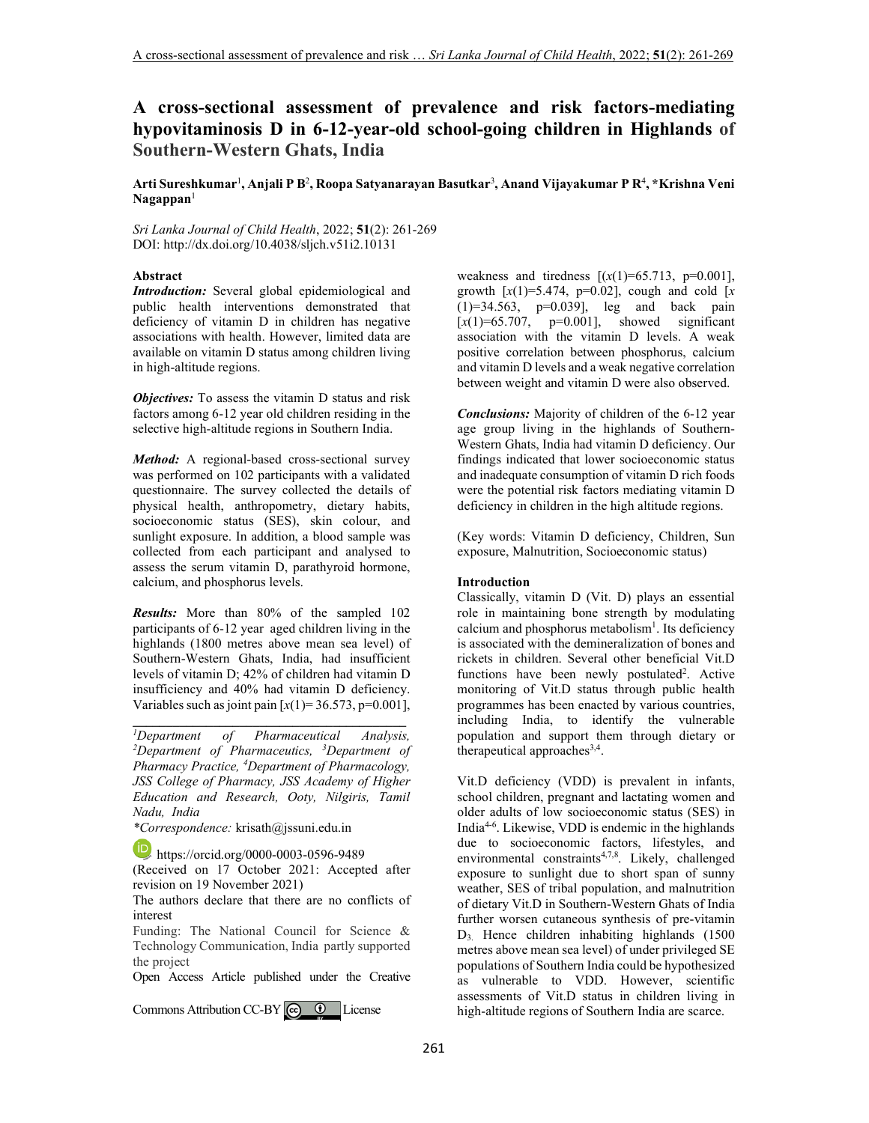# **A cross-sectional assessment of prevalence and risk factors-mediating hypovitaminosis D in 6-12-year-old school-going children in Highlands of Southern-Western Ghats, India**

**Arti Sureshkumar**<sup>1</sup> **, Anjali P B**<sup>2</sup> **, Roopa Satyanarayan Basutkar**<sup>3</sup> **, Anand Vijayakumar P R**<sup>4</sup> **, \*Krishna Veni Nagappan**<sup>1</sup>

*Sri Lanka Journal of Child Health*, 2022; **51**(2): 261-269 DOI: http://dx.doi.org/10.4038/sljch.v51i2.10131

# **Abstract**

*Introduction:* Several global epidemiological and public health interventions demonstrated that deficiency of vitamin D in children has negative associations with health. However, limited data are available on vitamin D status among children living in high-altitude regions.

*Objectives:* To assess the vitamin D status and risk factors among 6-12 year old children residing in the selective high-altitude regions in Southern India.

*Method:* A regional-based cross-sectional survey was performed on 102 participants with a validated questionnaire. The survey collected the details of physical health, anthropometry, dietary habits, socioeconomic status (SES), skin colour, and sunlight exposure. In addition, a blood sample was collected from each participant and analysed to assess the serum vitamin D, parathyroid hormone, calcium, and phosphorus levels.

*Results:* More than 80% of the sampled 102 participants of 6-12 year aged children living in the highlands (1800 metres above mean sea level) of Southern-Western Ghats, India, had insufficient levels of vitamin D; 42% of children had vitamin D insufficiency and 40% had vitamin D deficiency. Variables such as joint pain  $[x(1)=36.573, p=0.001]$ ,

**\_\_\_\_\_\_\_\_\_\_\_\_\_\_\_\_\_\_\_\_\_\_\_\_\_\_\_\_\_\_\_\_\_\_\_\_\_\_\_\_\_**

*\*Correspondence:* krisath@jssuni.edu.in

https://orcid.org/0000-0003-0596-9489

(Received on 17 October 2021: Accepted after revision on 19 November 2021)

The authors declare that there are no conflicts of interest

Funding: The National Council for Science & Technology Communication, India partly supported the project

Open Access Article published under the Creative

CommonsAttribution CC-BY  $\bigcirc$   $\bigcirc$  License

weakness and tiredness  $[(x(1)=65.713, p=0.001]$ , growth  $[x(1)=5.474, p=0.02]$ , cough and cold  $[x(1)]=5.474$ ,  $p=0.02$ (1)=34.563, p=0.039], leg and back pain  $[x(1)=65.707, p=0.001],$  showed significant association with the vitamin D levels. A weak positive correlation between phosphorus, calcium and vitamin D levels and a weak negative correlation between weight and vitamin D were also observed.

*Conclusions:* Majority of children of the 6-12 year age group living in the highlands of Southern-Western Ghats, India had vitamin D deficiency. Our findings indicated that lower socioeconomic status and inadequate consumption of vitamin D rich foods were the potential risk factors mediating vitamin D deficiency in children in the high altitude regions.

(Key words: Vitamin D deficiency, Children, Sun exposure, Malnutrition, Socioeconomic status)

### **Introduction**

Classically, vitamin D (Vit. D) plays an essential role in maintaining bone strength by modulating calcium and phosphorus metabolism<sup>1</sup>. Its deficiency is associated with the demineralization of bones and rickets in children. Several other beneficial Vit.D functions have been newly postulated<sup>2</sup>. Active monitoring of Vit.D status through public health programmes has been enacted by various countries, including India, to identify the vulnerable population and support them through dietary or therapeutical approaches<sup>3,4</sup>.

Vit.D deficiency (VDD) is prevalent in infants, school children, pregnant and lactating women and older adults of low socioeconomic status (SES) in India4-6. Likewise, VDD is endemic in the highlands due to socioeconomic factors, lifestyles, and environmental constraints<sup>4,7,8</sup>. Likely, challenged exposure to sunlight due to short span of sunny weather, SES of tribal population, and malnutrition of dietary Vit.D in Southern-Western Ghats of India further worsen cutaneous synthesis of pre-vitamin D3. Hence children inhabiting highlands (1500 metres above mean sea level) of under privileged SE populations of Southern India could be hypothesized as vulnerable to VDD. However, scientific assessments of Vit.D status in children living in high-altitude regions of Southern India are scarce.

*<sup>1</sup>Department of Pharmaceutical Analysis, <sup>2</sup>Department of Pharmaceutics, <sup>3</sup>Department of Pharmacy Practice, <sup>4</sup>Department of Pharmacology, JSS College of Pharmacy, JSS Academy of Higher Education and Research, Ooty, Nilgiris, Tamil Nadu, India*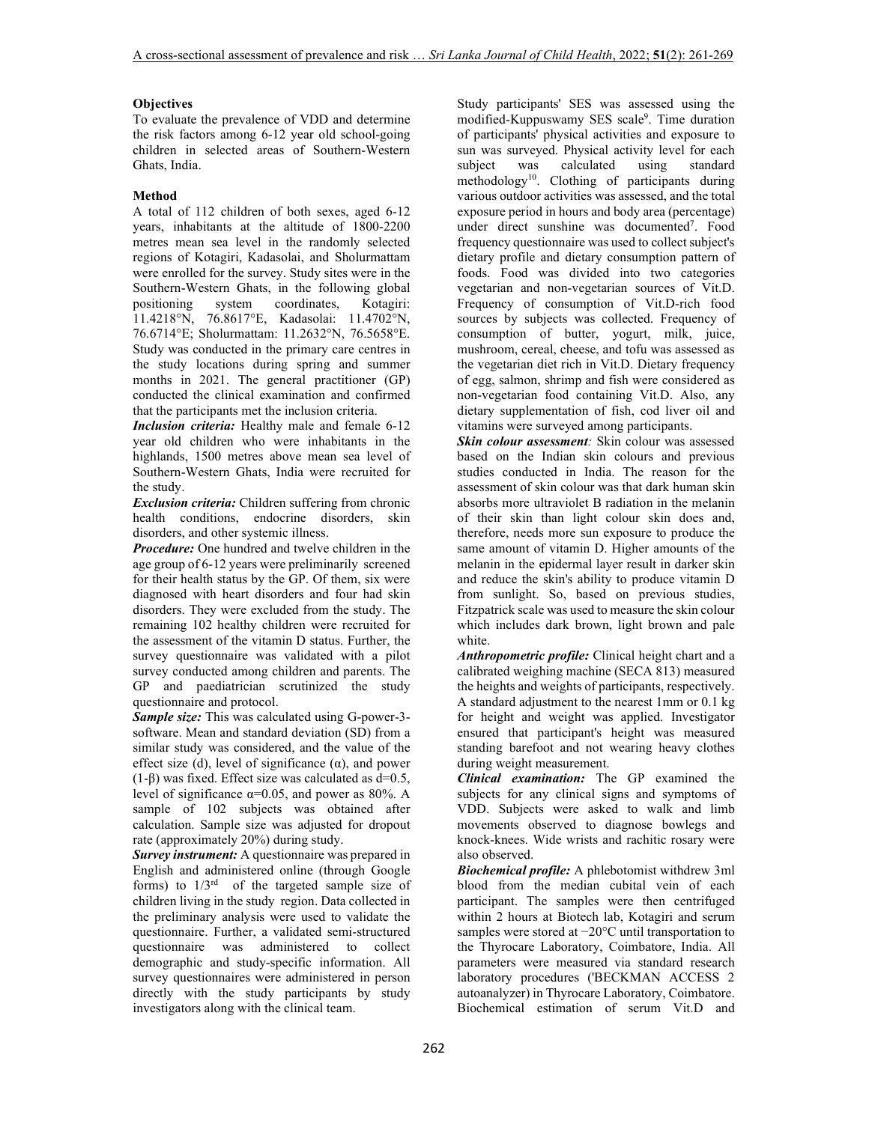# **Objectives**

To evaluate the prevalence of VDD and determine the risk factors among 6-12 year old school-going children in selected areas of Southern-Western Ghats, India.

# **Method**

A total of 112 children of both sexes, aged 6-12 years, inhabitants at the altitude of 1800-2200 metres mean sea level in the randomly selected regions of Kotagiri, Kadasolai, and Sholurmattam were enrolled for the survey. Study sites were in the Southern-Western Ghats, in the following global positioning system coordinates, Kotagiri: 11.4218°N, 76.8617°E, Kadasolai: 11.4702°N, 76.6714°E; Sholurmattam: 11.2632°N, 76.5658°E. Study was conducted in the primary care centres in the study locations during spring and summer months in 2021. The general practitioner (GP) conducted the clinical examination and confirmed that the participants met the inclusion criteria.

*Inclusion criteria:* Healthy male and female 6-12 year old children who were inhabitants in the highlands, 1500 metres above mean sea level of Southern-Western Ghats, India were recruited for the study.

*Exclusion criteria:* Children suffering from chronic health conditions, endocrine disorders, skin disorders, and other systemic illness.

*Procedure:* One hundred and twelve children in the age group of 6-12 years were preliminarily screened for their health status by the GP. Of them, six were diagnosed with heart disorders and four had skin disorders. They were excluded from the study. The remaining 102 healthy children were recruited for the assessment of the vitamin D status. Further, the survey questionnaire was validated with a pilot survey conducted among children and parents. The GP and paediatrician scrutinized the study questionnaire and protocol.

*Sample size:* This was calculated using G-power-3 software. Mean and standard deviation (SD) from a similar study was considered, and the value of the effect size (d), level of significance  $(\alpha)$ , and power (1-β) was fixed. Effect size was calculated as  $d=0.5$ , level of significance  $\alpha=0.05$ , and power as 80%. A sample of 102 subjects was obtained after calculation. Sample size was adjusted for dropout rate (approximately 20%) during study.

*Survey instrument:* A questionnaire was prepared in English and administered online (through Google forms) to  $1/3<sup>rd</sup>$  of the targeted sample size of children living in the study region. Data collected in the preliminary analysis were used to validate the questionnaire. Further, a validated semi-structured questionnaire was administered to collect demographic and study-specific information. All survey questionnaires were administered in person directly with the study participants by study investigators along with the clinical team.

Study participants' SES was assessed using the modified-Kuppuswamy SES scale<sup>9</sup>. Time duration of participants' physical activities and exposure to sun was surveyed. Physical activity level for each subject was calculated using standard subject was calculated using standard methodology<sup>10</sup>. Clothing of participants during various outdoor activities was assessed, and the total exposure period in hours and body area (percentage) under direct sunshine was documented<sup>7</sup> . Food frequency questionnaire was used to collect subject's dietary profile and dietary consumption pattern of foods. Food was divided into two categories vegetarian and non-vegetarian sources of Vit.D. Frequency of consumption of Vit.D-rich food sources by subjects was collected. Frequency of consumption of butter, yogurt, milk, juice, mushroom, cereal, cheese, and tofu was assessed as the vegetarian diet rich in Vit.D. Dietary frequency of egg, salmon, shrimp and fish were considered as non-vegetarian food containing Vit.D. Also, any dietary supplementation of fish, cod liver oil and vitamins were surveyed among participants.

*Skin colour assessment:* Skin colour was assessed based on the Indian skin colours and previous studies conducted in India. The reason for the assessment of skin colour was that dark human skin absorbs more ultraviolet B radiation in the melanin of their skin than light colour skin does and, therefore, needs more sun exposure to produce the same amount of vitamin D. Higher amounts of the melanin in the epidermal layer result in darker skin and reduce the skin's ability to produce vitamin D from sunlight. So, based on previous studies, Fitzpatrick scale was used to measure the skin colour which includes dark brown, light brown and pale white.

*Anthropometric profile:* Clinical height chart and a calibrated weighing machine (SECA 813) measured the heights and weights of participants, respectively. A standard adjustment to the nearest 1mm or 0.1 kg for height and weight was applied. Investigator ensured that participant's height was measured standing barefoot and not wearing heavy clothes during weight measurement.

*Clinical examination:* The GP examined the subjects for any clinical signs and symptoms of VDD. Subjects were asked to walk and limb movements observed to diagnose bowlegs and knock-knees. Wide wrists and rachitic rosary were also observed.

*Biochemical profile:* A phlebotomist withdrew 3ml blood from the median cubital vein of each participant. The samples were then centrifuged within 2 hours at Biotech lab, Kotagiri and serum samples were stored at −20°C until transportation to the Thyrocare Laboratory, Coimbatore, India. All parameters were measured via standard research laboratory procedures ('BECKMAN ACCESS 2 autoanalyzer) in Thyrocare Laboratory, Coimbatore. Biochemical estimation of serum Vit.D and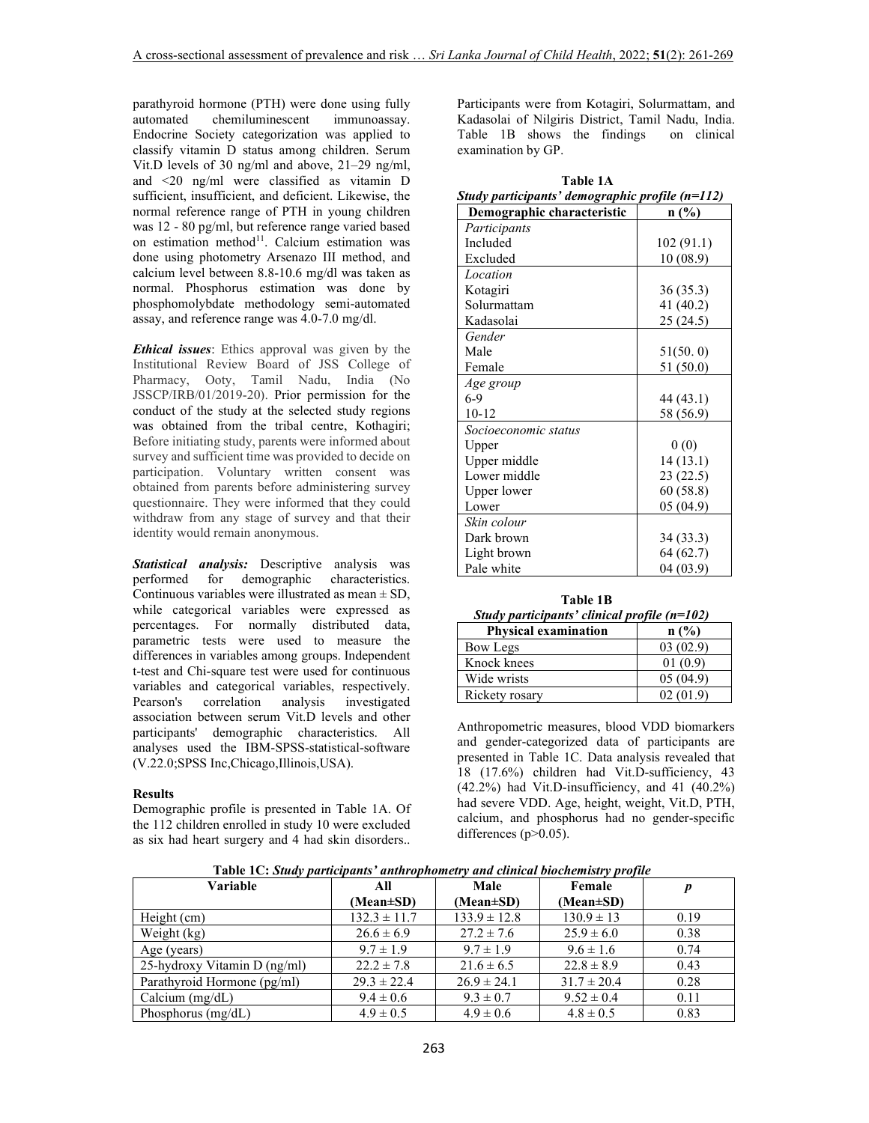parathyroid hormone (PTH) were done using fully automated chemiluminescent immunoassay. Endocrine Society categorization was applied to classify vitamin D status among children. Serum Vit.D levels of 30 ng/ml and above, 21–29 ng/ml, and <20 ng/ml were classified as vitamin D sufficient, insufficient, and deficient. Likewise, the normal reference range of PTH in young children was 12 - 80 pg/ml, but reference range varied based on estimation method<sup>11</sup>. Calcium estimation was done using photometry Arsenazo III method, and calcium level between 8.8-10.6 mg/dl was taken as normal. Phosphorus estimation was done by phosphomolybdate methodology semi-automated assay, and reference range was 4.0-7.0 mg/dl.

*Ethical issues*: Ethics approval was given by the Institutional Review Board of JSS College of Pharmacy, Ooty, Tamil Nadu, India (No JSSCP/IRB/01/2019-20). Prior permission for the conduct of the study at the selected study regions was obtained from the tribal centre, Kothagiri; Before initiating study, parents were informed about survey and sufficient time was provided to decide on participation. Voluntary written consent was obtained from parents before administering survey questionnaire. They were informed that they could withdraw from any stage of survey and that their identity would remain anonymous.

*Statistical analysis:* Descriptive analysis was performed for demographic characteristics. Continuous variables were illustrated as mean  $\pm$  SD, while categorical variables were expressed as percentages. For normally distributed data, parametric tests were used to measure the differences in variables among groups. Independent t-test and Chi-square test were used for continuous variables and categorical variables, respectively. correlation analysis investigated association between serum Vit.D levels and other participants' demographic characteristics. All analyses used the IBM-SPSS-statistical-software (V.22.0;SPSS Inc,Chicago,Illinois,USA).

# **Results**

Demographic profile is presented in Table 1A. Of the 112 children enrolled in study 10 were excluded as six had heart surgery and 4 had skin disorders..

Participants were from Kotagiri, Solurmattam, and Kadasolai of Nilgiris District, Tamil Nadu, India. Table 1B shows the findings on clinical examination by GP.

| Table 1A                                        |  |
|-------------------------------------------------|--|
| Study participants' demographic profile (n=112) |  |
|                                                 |  |

| Demographic characteristic | n(%)       |
|----------------------------|------------|
| Participants               |            |
| Included                   | 102 (91.1) |
| Excluded                   | 10(08.9)   |
| Location                   |            |
| Kotagiri                   | 36 (35.3)  |
| Solurmattam                | 41 (40.2)  |
| Kadasolai                  | 25 (24.5)  |
| Gender                     |            |
| Male                       | 51(50.0)   |
| Female                     | 51 (50.0)  |
| Age group                  |            |
| $6-9$                      | 44 (43.1)  |
| $10 - 12$                  | 58 (56.9)  |
| Socioeconomic status       |            |
| Upper                      | 0(0)       |
| Upper middle               | 14(13.1)   |
| Lower middle               | 23 (22.5)  |
| Upper lower                | 60 (58.8)  |
| Lower                      | 05(04.9)   |
| Skin colour                |            |
| Dark brown                 | 34 (33.3)  |
| Light brown                | 64 (62.7)  |
| Pale white                 | 04(03.9)   |

#### **Table 1B**   *Study participants' clinical profile (n=102)*

| $sum$ paracepants cunical profile $(n-102)$ |          |
|---------------------------------------------|----------|
| <b>Physical examination</b>                 | n(%)     |
| Bow Legs                                    | 03(02.9) |
| Knock knees                                 | 01(0.9)  |
| Wide wrists                                 | 05(04.9) |
| Rickety rosary                              | 02(01.9) |

Anthropometric measures, blood VDD biomarkers and gender-categorized data of participants are presented in Table 1C. Data analysis revealed that 18 (17.6%) children had Vit.D-sufficiency, 43 (42.2%) had Vit.D-insufficiency, and 41 (40.2%) had severe VDD. Age, height, weight, Vit.D, PTH, calcium, and phosphorus had no gender-specific differences  $(p>0.05)$ .

 **Table 1C:** *Study participants' anthrophometry and clinical biochemistry profile*

| Variable                     | All              | Male             | Female          |      |
|------------------------------|------------------|------------------|-----------------|------|
|                              | $(Mean \pm SD)$  | (Mean±SD)        | $(Mean \pm SD)$ |      |
| Height $(cm)$                | $132.3 \pm 11.7$ | $133.9 \pm 12.8$ | $130.9 \pm 13$  | 0.19 |
| Weight $(kg)$                | $26.6 \pm 6.9$   | $27.2 \pm 7.6$   | $25.9 \pm 6.0$  | 0.38 |
| Age (years)                  | $9.7 \pm 1.9$    | $9.7 \pm 1.9$    | $9.6 \pm 1.6$   | 0.74 |
| 25-hydroxy Vitamin D (ng/ml) | $22.2 \pm 7.8$   | $21.6 \pm 6.5$   | $22.8 \pm 8.9$  | 0.43 |
| Parathyroid Hormone (pg/ml)  | $29.3 \pm 22.4$  | $26.9 \pm 24.1$  | $31.7 \pm 20.4$ | 0.28 |
| Calcium $(mg/dL)$            | $9.4 \pm 0.6$    | $9.3 \pm 0.7$    | $9.52 \pm 0.4$  | 0.11 |
| Phosphorus $(mg/dL)$         | $4.9 \pm 0.5$    | $4.9 \pm 0.6$    | $4.8 \pm 0.5$   | 0.83 |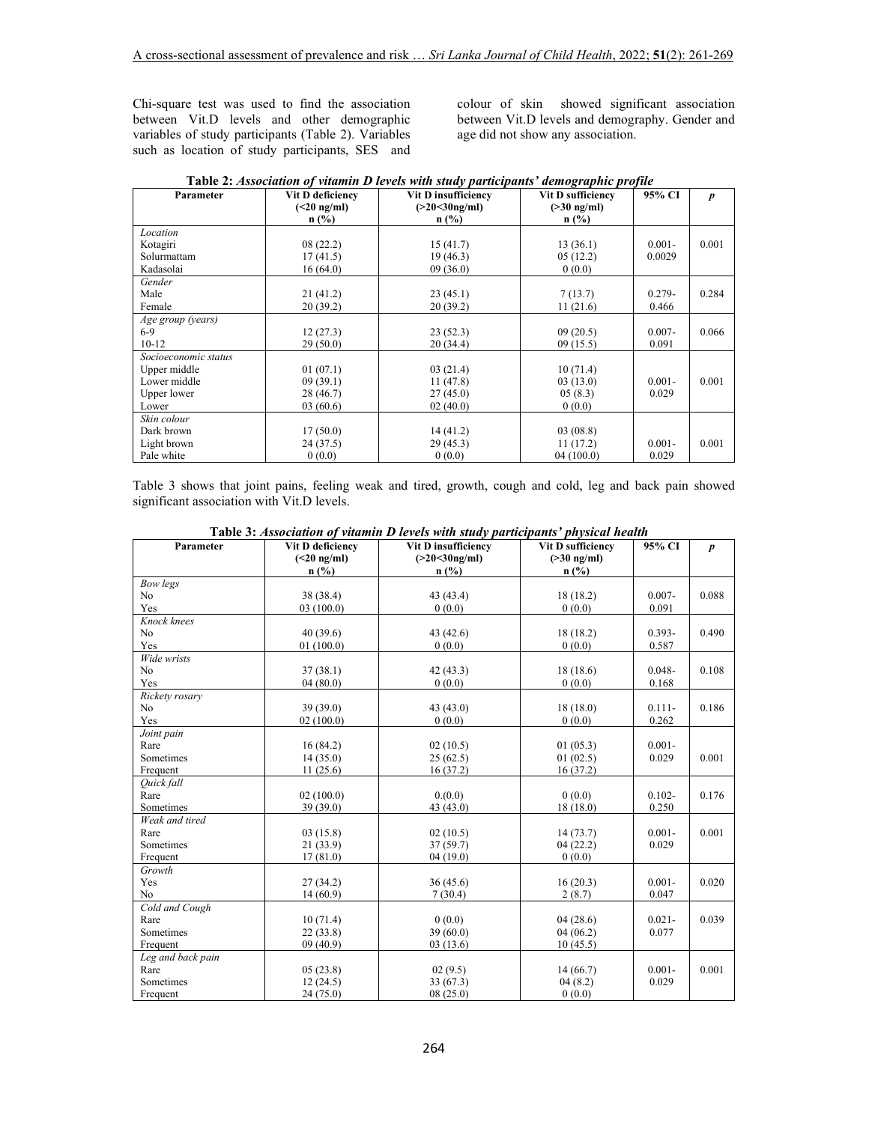Chi-square test was used to find the association between Vit.D levels and other demographic variables of study participants (Table 2). Variables such as location of study participants, SES and colour of skin showed significant association between Vit.D levels and demography. Gender and age did not show any association.

| Parameter            | Vit D deficiency                     | Vit D insufficiency         | Vit D sufficiency         | 95% CI    | $\boldsymbol{p}$ |
|----------------------|--------------------------------------|-----------------------------|---------------------------|-----------|------------------|
|                      | $(\leq 20 \text{ ng/ml})$<br>$n$ (%) | $(>20<30$ ng/ml)<br>$n$ (%) | $( >30$ ng/ml)<br>$n$ (%) |           |                  |
| Location             |                                      |                             |                           |           |                  |
| Kotagiri             | 08(22.2)                             | 15(41.7)                    | 13(36.1)                  | $0.001 -$ | 0.001            |
| Solurmattam          | 17(41.5)                             | 19(46.3)                    | 05(12.2)                  | 0.0029    |                  |
| Kadasolai            | 16(64.0)                             | 09(36.0)                    | 0(0.0)                    |           |                  |
| Gender               |                                      |                             |                           |           |                  |
| Male                 | 21 (41.2)                            | 23(45.1)                    | 7(13.7)                   | $0.279 -$ | 0.284            |
| Female               | 20 (39.2)                            | 20(39.2)                    | 11(21.6)                  | 0.466     |                  |
| Age group (years)    |                                      |                             |                           |           |                  |
| $6-9$                | 12(27.3)                             | 23(52.3)                    | 09(20.5)                  | $0.007 -$ | 0.066            |
| $10-12$              | 29(50.0)                             | 20 (34.4)                   | 09(15.5)                  | 0.091     |                  |
| Socioeconomic status |                                      |                             |                           |           |                  |
| Upper middle         | 01(07.1)                             | 03(21.4)                    | 10(71.4)                  |           |                  |
| Lower middle         | 09(39.1)                             | 11(47.8)                    | 03(13.0)                  | $0.001 -$ | 0.001            |
| Upper lower          | 28 (46.7)                            | 27(45.0)                    | 05(8.3)                   | 0.029     |                  |
| Lower                | 03(60.6)                             | 02(40.0)                    | 0(0.0)                    |           |                  |
| Skin colour          |                                      |                             |                           |           |                  |
| Dark brown           | 17(50.0)                             | 14(41.2)                    | 03(08.8)                  |           |                  |
| Light brown          | 24 (37.5)                            | 29(45.3)                    | 11(17.2)                  | $0.001 -$ | 0.001            |
| Pale white           | 0(0.0)                               | 0(0.0)                      | 04(100.0)                 | 0.029     |                  |

Table 3 shows that joint pains, feeling weak and tired, growth, cough and cold, leg and back pain showed significant association with Vit.D levels.

| Parameter         | Vit D deficiency      | Vit D insufficiency         | Vit D sufficiency      | 95% CI    | $\boldsymbol{p}$ |
|-------------------|-----------------------|-----------------------------|------------------------|-----------|------------------|
|                   | $(<20$ ng/ml)<br>n(%) | $( >20 < 30$ ng/ml)<br>n(%) | $( >30$ ng/ml)<br>n(%) |           |                  |
| Bow legs          |                       |                             |                        |           |                  |
| N <sub>o</sub>    | 38 (38.4)             | 43 (43.4)                   | 18(18.2)               | $0.007 -$ | 0.088            |
| Yes               | 03(100.0)             | 0(0.0)                      | 0(0.0)                 | 0.091     |                  |
| Knock knees       |                       |                             |                        |           |                  |
| N <sub>o</sub>    | 40(39.6)              | 43 (42.6)                   | 18(18.2)               | $0.393 -$ | 0.490            |
| Yes               | 01(100.0)             | 0(0.0)                      | 0(0.0)                 | 0.587     |                  |
| Wide wrists       |                       |                             |                        |           |                  |
| N <sub>o</sub>    | 37(38.1)              | 42(43.3)                    | 18(18.6)               | $0.048 -$ | 0.108            |
| Yes               | 04(80.0)              | 0(0.0)                      | 0(0.0)                 | 0.168     |                  |
| Rickety rosary    |                       |                             |                        |           |                  |
| N <sub>o</sub>    | 39(39.0)              | 43(43.0)                    | 18(18.0)               | $0.111 -$ | 0.186            |
| Yes               | 02(100.0)             | 0(0.0)                      | 0(0.0)                 | 0.262     |                  |
| Joint pain        |                       |                             |                        |           |                  |
| Rare              | 16(84.2)              | 02(10.5)                    | 01(05.3)               | $0.001 -$ |                  |
| Sometimes         | 14(35.0)              | 25(62.5)                    | 01(02.5)               | 0.029     | 0.001            |
| Frequent          | 11(25.6)              | 16(37.2)                    | 16(37.2)               |           |                  |
| Ouick fall        |                       |                             |                        |           |                  |
| Rare              | 02(100.0)             | 0.000                       | 0(0.0)                 | $0.102 -$ | 0.176            |
| Sometimes         | 39(39.0)              | 43 (43.0)                   | 18(18.0)               | 0.250     |                  |
| Weak and tired    |                       |                             |                        |           |                  |
| Rare              | 03(15.8)              | 02(10.5)                    | 14(73.7)               | $0.001 -$ | 0.001            |
| Sometimes         | 21(33.9)              | 37(59.7)                    | 04(22.2)               | 0.029     |                  |
| Frequent          | 17(81.0)              | 04(19.0)                    | 0(0.0)                 |           |                  |
| Growth            |                       |                             |                        |           |                  |
| Yes               | 27(34.2)              | 36(45.6)                    | 16(20.3)               | $0.001 -$ | 0.020            |
| No                | 14(60.9)              | 7(30.4)                     | 2(8.7)                 | 0.047     |                  |
| Cold and Cough    |                       |                             |                        |           |                  |
| Rare              | 10(71.4)              | 0(0.0)                      | 04(28.6)               | $0.021 -$ | 0.039            |
| Sometimes         | 22(33.8)              | 39(60.0)                    | 04(06.2)               | 0.077     |                  |
| Frequent          | 09(40.9)              | 03(13.6)                    | 10(45.5)               |           |                  |
| Leg and back pain |                       |                             |                        |           |                  |
| Rare              | 05(23.8)              | 02(9.5)                     | 14(66.7)               | $0.001 -$ | 0.001            |
| Sometimes         | 12(24.5)              | 33 (67.3)                   | 04(8.2)                | 0.029     |                  |
| Frequent          | 24(75.0)              | 08(25.0)                    | 0(0.0)                 |           |                  |

 **Table 3:** *Association of vitamin D levels with study participants' physical health*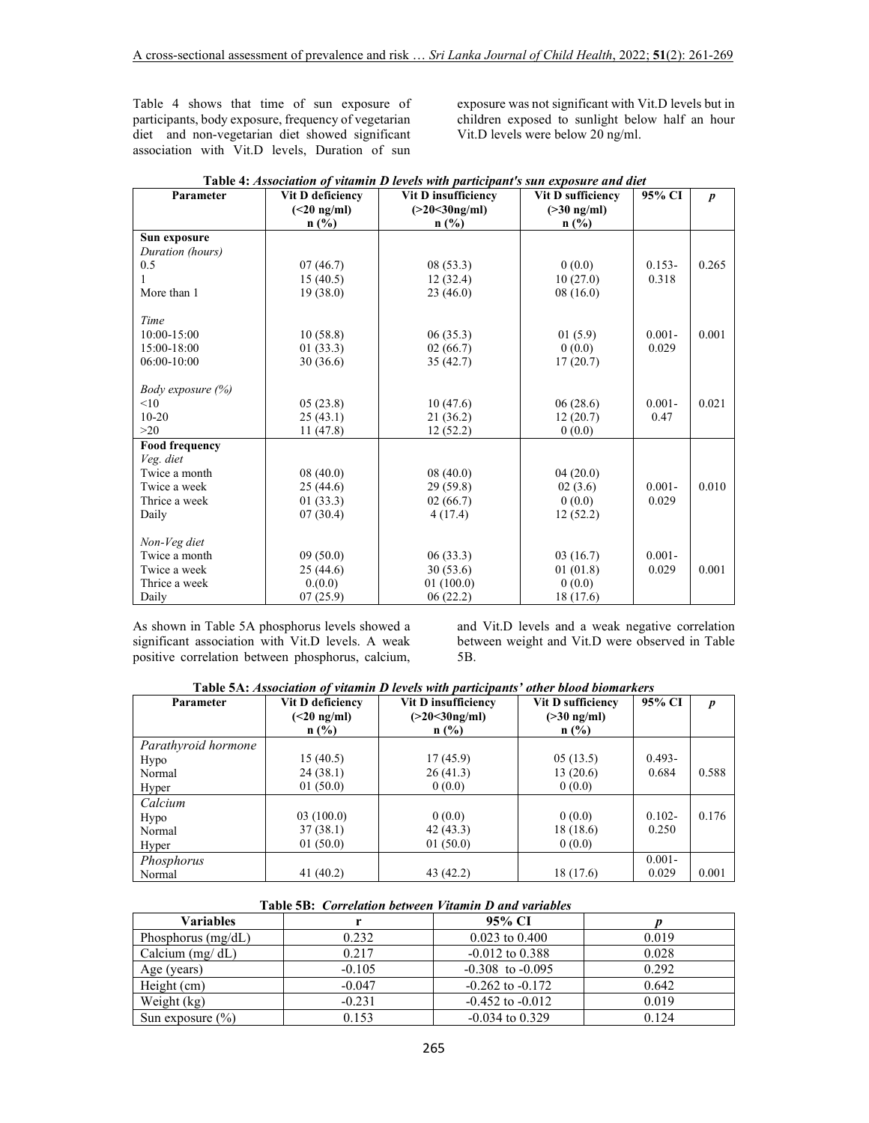Table 4 shows that time of sun exposure of participants, body exposure, frequency of vegetarian diet and non-vegetarian diet showed significant association with Vit.D levels, Duration of sun exposure was not significant with Vit.D levels but in children exposed to sunlight below half an hour Vit.D levels were below 20 ng/ml.

| Parameter                | Vit D deficiency | Vit D insufficiency | Vit D sufficiency | 95% CI    | $\boldsymbol{p}$ |
|--------------------------|------------------|---------------------|-------------------|-----------|------------------|
|                          | $(<20$ ng/ml)    | $(>20<30$ ng/ml)    | $( >30$ ng/ml)    |           |                  |
|                          | $n$ (%)          | $n$ (%)             | $n$ (%)           |           |                  |
| Sun exposure             |                  |                     |                   |           |                  |
| Duration (hours)         |                  |                     |                   |           |                  |
| 0.5                      | 07(46.7)         | 08(53.3)            | 0(0.0)            | $0.153 -$ | 0.265            |
|                          | 15(40.5)         | 12(32.4)            | 10(27.0)          | 0.318     |                  |
| More than 1              | 19(38.0)         | 23(46.0)            | 08(16.0)          |           |                  |
|                          |                  |                     |                   |           |                  |
| Time                     |                  |                     |                   |           |                  |
| 10:00-15:00              | 10(58.8)         | 06(35.3)            | 01(5.9)           | $0.001 -$ | 0.001            |
| 15:00-18:00              | 01(33.3)         | 02(66.7)            | 0(0.0)            | 0.029     |                  |
| 06:00-10:00              | 30(36.6)         | 35(42.7)            | 17(20.7)          |           |                  |
|                          |                  |                     |                   |           |                  |
| <i>Body exposure (%)</i> |                  |                     |                   |           |                  |
| <10                      | 05(23.8)         | 10(47.6)            | 06(28.6)          | $0.001 -$ | 0.021            |
| $10 - 20$                | 25(43.1)         | 21(36.2)            | 12(20.7)          | 0.47      |                  |
| >20                      | 11 (47.8)        | 12(52.2)            | 0(0.0)            |           |                  |
| Food frequency           |                  |                     |                   |           |                  |
| Veg. diet                |                  |                     |                   |           |                  |
| Twice a month            | 08(40.0)         | 08(40.0)            | 04(20.0)          |           |                  |
| Twice a week             | 25 (44.6)        | 29 (59.8)           | 02(3.6)           | $0.001 -$ | 0.010            |
| Thrice a week            | 01(33.3)         | 02(66.7)            | 0(0.0)            | 0.029     |                  |
| Daily                    | 07(30.4)         | 4(17.4)             | 12(52.2)          |           |                  |
|                          |                  |                     |                   |           |                  |
| Non-Veg diet             |                  |                     |                   |           |                  |
| Twice a month            | 09(50.0)         | 06(33.3)            | 03(16.7)          | $0.001 -$ |                  |
| Twice a week             | 25(44.6)         | 30(53.6)            | 01(01.8)          | 0.029     | 0.001            |
| Thrice a week            | 0.000            | 01(100.0)           | 0(0.0)            |           |                  |
| Daily                    | 07(25.9)         | 06(22.2)            | 18 (17.6)         |           |                  |

|  | Table 4: Association of vitamin D levels with participant's sun exposure and diet |  |  |  |
|--|-----------------------------------------------------------------------------------|--|--|--|
|  |                                                                                   |  |  |  |
|  |                                                                                   |  |  |  |

As shown in Table 5A phosphorus levels showed a significant association with Vit.D levels. A weak positive correlation between phosphorus, calcium, and Vit.D levels and a weak negative correlation between weight and Vit.D were observed in Table 5B.

| Parameter           | Vit D deficiency          | Vit D insufficiency | Vit D sufficiency | 95% CI    | $\boldsymbol{p}$ |
|---------------------|---------------------------|---------------------|-------------------|-----------|------------------|
|                     | $(\leq 20 \text{ ng/ml})$ | $(>20<30$ ng/ml)    | $( >30$ ng/ml)    |           |                  |
|                     | $n$ (%)                   | $n$ (%)             | $n$ (%)           |           |                  |
| Parathyroid hormone |                           |                     |                   |           |                  |
| Hypo                | 15(40.5)                  | 17(45.9)            | 05(13.5)          | $0.493 -$ |                  |
| Normal              | 24(38.1)                  | 26(41.3)            | 13(20.6)          | 0.684     | 0.588            |
| Hyper               | 01(50.0)                  | 0(0.0)              | 0(0.0)            |           |                  |
| Calcium             |                           |                     |                   |           |                  |
| Hypo                | 03(100.0)                 | 0(0.0)              | 0(0.0)            | $0.102 -$ | 0.176            |
| Normal              | 37(38.1)                  | 42(43.3)            | 18 (18.6)         | 0.250     |                  |
| Hyper               | 01(50.0)                  | 01(50.0)            | 0(0.0)            |           |                  |
| Phosphorus          |                           |                     |                   | $0.001 -$ |                  |
| Normal              | 41(40.2)                  | 43 (42.2)           | 18 (17.6)         | 0.029     | 0.001            |

### **Table 5B:** *Correlation between Vitamin D and variables*

| Variables            |          | 95% CI               |       |
|----------------------|----------|----------------------|-------|
| Phosphorus $(mg/dL)$ | 0.232    | $0.023$ to $0.400$   | 0.019 |
| Calcium $(mg/dL)$    | 0.217    | $-0.012$ to 0.388    | 0.028 |
| Age (years)          | $-0.105$ | $-0.308$ to $-0.095$ | 0.292 |
| Height (cm)          | $-0.047$ | $-0.262$ to $-0.172$ | 0.642 |
| Weight (kg)          | $-0.231$ | $-0.452$ to $-0.012$ | 0.019 |
| Sun exposure $(\% )$ | 0.153    | $-0.034$ to 0.329    | 0.124 |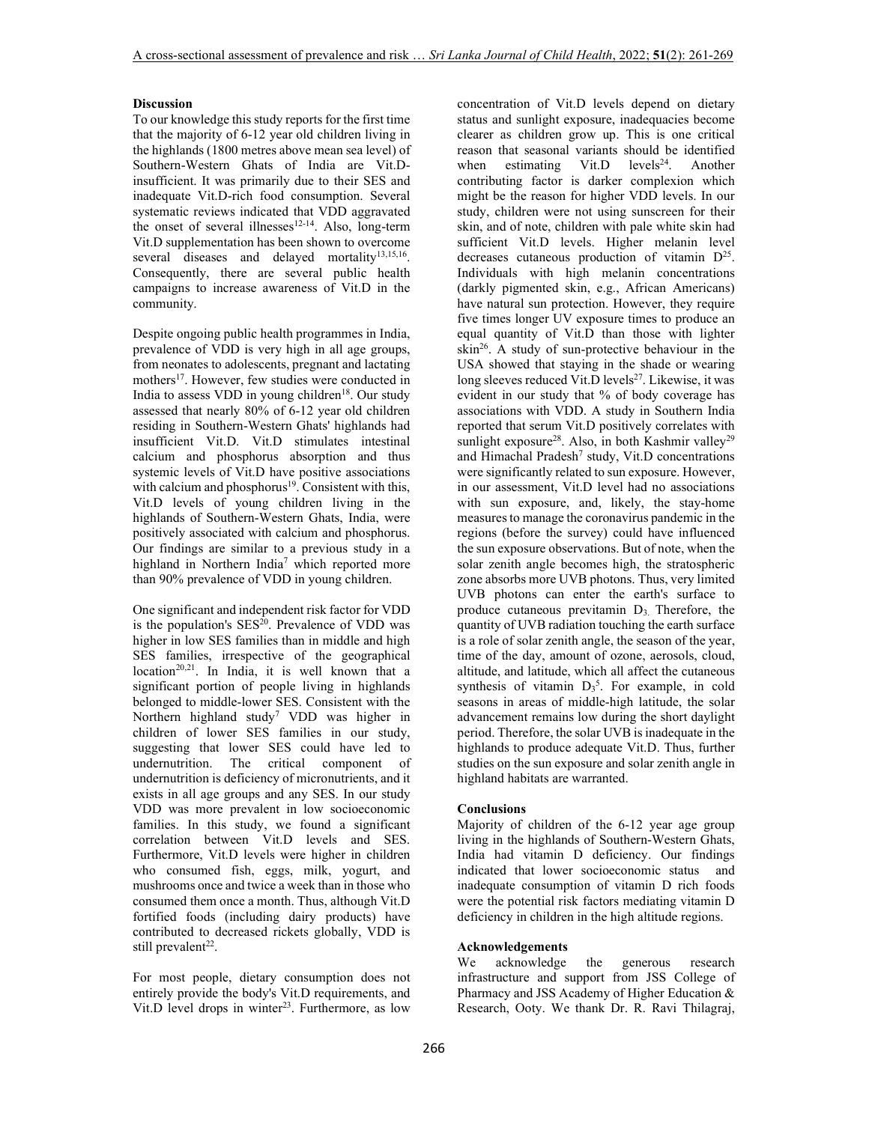# **Discussion**

To our knowledge this study reports for the first time that the majority of 6-12 year old children living in the highlands (1800 metres above mean sea level) of Southern-Western Ghats of India are Vit.Dinsufficient. It was primarily due to their SES and inadequate Vit.D-rich food consumption. Several systematic reviews indicated that VDD aggravated the onset of several illnesses<sup>12-14</sup>. Also, long-term Vit.D supplementation has been shown to overcome several diseases and delayed mortality<sup>13,15,16</sup>. Consequently, there are several public health campaigns to increase awareness of Vit.D in the community.

Despite ongoing public health programmes in India, prevalence of VDD is very high in all age groups, from neonates to adolescents, pregnant and lactating mothers<sup>17</sup>. However, few studies were conducted in India to assess VDD in young children<sup>18</sup>. Our study assessed that nearly 80% of 6-12 year old children residing in Southern-Western Ghats' highlands had insufficient Vit.D. Vit.D stimulates intestinal calcium and phosphorus absorption and thus systemic levels of Vit.D have positive associations with calcium and phosphorus<sup>19</sup>. Consistent with this, Vit.D levels of young children living in the highlands of Southern-Western Ghats, India, were positively associated with calcium and phosphorus. Our findings are similar to a previous study in a highland in Northern India<sup>7</sup> which reported more than 90% prevalence of VDD in young children.

One significant and independent risk factor for VDD is the population's  $SES^{20}$ . Prevalence of VDD was higher in low SES families than in middle and high SES families, irrespective of the geographical  $location^{20,21}$ . In India, it is well known that a significant portion of people living in highlands belonged to middle-lower SES. Consistent with the Northern highland study<sup>7</sup> VDD was higher in children of lower SES families in our study, suggesting that lower SES could have led to undernutrition. The critical component of undernutrition is deficiency of micronutrients, and it exists in all age groups and any SES. In our study VDD was more prevalent in low socioeconomic families. In this study, we found a significant correlation between Vit.D levels and SES. Furthermore, Vit.D levels were higher in children who consumed fish, eggs, milk, yogurt, and mushrooms once and twice a week than in those who consumed them once a month. Thus, although Vit.D fortified foods (including dairy products) have contributed to decreased rickets globally, VDD is still prevalent<sup>22</sup>.

For most people, dietary consumption does not entirely provide the body's Vit.D requirements, and Vit.D level drops in winter<sup>23</sup>. Furthermore, as low concentration of Vit.D levels depend on dietary status and sunlight exposure, inadequacies become clearer as children grow up. This is one critical reason that seasonal variants should be identified<br>when estimating Vit.D levels<sup>24</sup>. Another when estimating Vit.D levels<sup>24</sup>. contributing factor is darker complexion which might be the reason for higher VDD levels. In our study, children were not using sunscreen for their skin, and of note, children with pale white skin had sufficient Vit.D levels. Higher melanin level decreases cutaneous production of vitamin D<sup>25</sup>. Individuals with high melanin concentrations (darkly pigmented skin, e.g., African Americans) have natural sun protection. However, they require five times longer UV exposure times to produce an equal quantity of Vit.D than those with lighter  $skin<sup>26</sup>$ . A study of sun-protective behaviour in the USA showed that staying in the shade or wearing long sleeves reduced Vit.D levels<sup>27</sup>. Likewise, it was evident in our study that % of body coverage has associations with VDD. A study in Southern India reported that serum Vit.D positively correlates with sunlight exposure<sup>28</sup>. Also, in both Kashmir valley<sup>29</sup> and Himachal Pradesh<sup>7</sup> study, Vit.D concentrations were significantly related to sun exposure. However, in our assessment, Vit.D level had no associations with sun exposure, and, likely, the stay-home measures to manage the coronavirus pandemic in the regions (before the survey) could have influenced the sun exposure observations. But of note, when the solar zenith angle becomes high, the stratospheric zone absorbs more UVB photons. Thus, very limited UVB photons can enter the earth's surface to produce cutaneous previtamin  $D_3$ . Therefore, the quantity of UVB radiation touching the earth surface is a role of solar zenith angle, the season of the year, time of the day, amount of ozone, aerosols, cloud, altitude, and latitude, which all affect the cutaneous synthesis of vitamin  $D_3^5$ . For example, in cold seasons in areas of middle-high latitude, the solar advancement remains low during the short daylight period. Therefore, the solar UVB is inadequate in the highlands to produce adequate Vit.D. Thus, further studies on the sun exposure and solar zenith angle in highland habitats are warranted.

# **Conclusions**

Majority of children of the 6-12 year age group living in the highlands of Southern-Western Ghats, India had vitamin D deficiency. Our findings indicated that lower socioeconomic status and inadequate consumption of vitamin D rich foods were the potential risk factors mediating vitamin D deficiency in children in the high altitude regions.

# **Acknowledgements**

We acknowledge the generous research infrastructure and support from JSS College of Pharmacy and JSS Academy of Higher Education & Research, Ooty. We thank Dr. R. Ravi Thilagraj,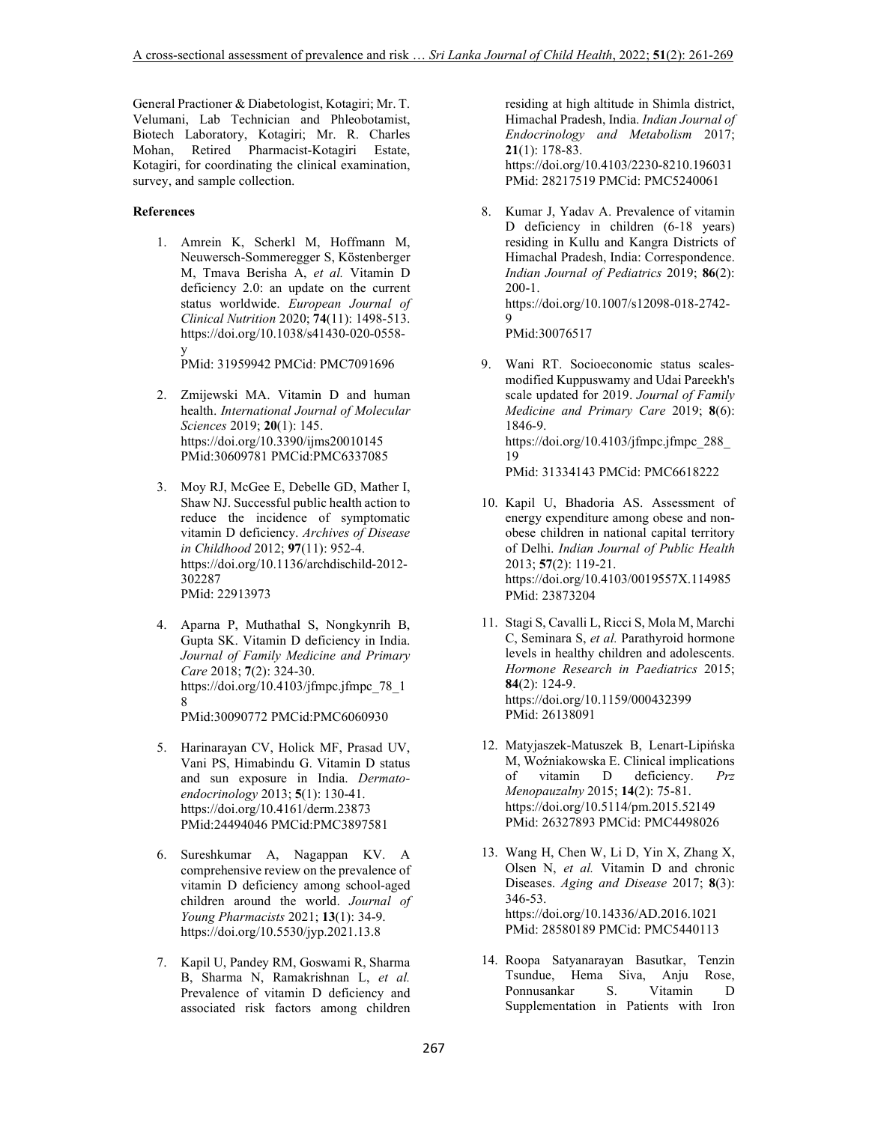General Practioner & Diabetologist, Kotagiri; Mr. T. Velumani, Lab Technician and Phleobotamist, Biotech Laboratory, Kotagiri; Mr. R. Charles Mohan, Retired Pharmacist-Kotagiri Estate, Kotagiri, for coordinating the clinical examination, survey, and sample collection.

# **References**

1. Amrein K, Scherkl M, Hoffmann M, Neuwersch-Sommeregger S, Köstenberger M, Tmava Berisha A, *et al.* Vitamin D deficiency 2.0: an update on the current status worldwide. *European Journal of Clinical Nutrition* 2020; **74**(11): 1498-513. https://doi.org/10.1038/s41430-020-0558 y

PMid: 31959942 PMCid: PMC7091696

- 2. Zmijewski MA. Vitamin D and human health. *International Journal of Molecular Sciences* 2019; **20**(1): 145. https://doi.org/10.3390/ijms20010145 PMid:30609781 PMCid:PMC6337085
- 3. Moy RJ, McGee E, Debelle GD, Mather I, Shaw NJ. Successful public health action to reduce the incidence of symptomatic vitamin D deficiency. *Archives of Disease in Childhood* 2012; **97**(11): 952-4. https://doi.org/10.1136/archdischild-2012- 302287 PMid: 22913973
- 4. Aparna P, Muthathal S, Nongkynrih B, Gupta SK. Vitamin D deficiency in India. *Journal of Family Medicine and Primary Care* 2018; **7**(2): 324-30. https://doi.org/10.4103/jfmpc.jfmpc\_78\_1 8 PMid:30090772 PMCid:PMC6060930
- 5. Harinarayan CV, Holick MF, Prasad UV, Vani PS, Himabindu G. Vitamin D status and sun exposure in India. *Dermatoendocrinology* 2013; **5**(1): 130-41. https://doi.org/10.4161/derm.23873 PMid:24494046 PMCid:PMC3897581
- 6. Sureshkumar A, Nagappan KV. A comprehensive review on the prevalence of vitamin D deficiency among school-aged children around the world. *Journal of Young Pharmacists* 2021; **13**(1): 34-9. https://doi.org/10.5530/jyp.2021.13.8
- 7. Kapil U, Pandey RM, Goswami R, Sharma B, Sharma N, Ramakrishnan L, *et al.* Prevalence of vitamin D deficiency and associated risk factors among children

residing at high altitude in Shimla district, Himachal Pradesh, India. *Indian Journal of Endocrinology and Metabolism* 2017; **21**(1): 178-83. https://doi.org/10.4103/2230-8210.196031 PMid: 28217519 PMCid: PMC5240061

8. Kumar J, Yadav A. Prevalence of vitamin D deficiency in children (6-18 years) residing in Kullu and Kangra Districts of Himachal Pradesh, India: Correspondence. *Indian Journal of Pediatrics* 2019; **86**(2): 200-1. https://doi.org/10.1007/s12098-018-2742-  $\mathbf Q$ 

PMid:30076517

9. Wani RT. Socioeconomic status scalesmodified Kuppuswamy and Udai Pareekh's scale updated for 2019. *Journal of Family Medicine and Primary Care* 2019; **8**(6): 1846-9. https://doi.org/10.4103/jfmpc.jfmpc $288$ 19

PMid: 31334143 PMCid: PMC6618222

- 10. Kapil U, Bhadoria AS. Assessment of energy expenditure among obese and nonobese children in national capital territory of Delhi. *Indian Journal of Public Health* 2013; **57**(2): 119-21. https://doi.org/10.4103/0019557X.114985 PMid: 23873204
- 11. Stagi S, Cavalli L, Ricci S, Mola M, Marchi C, Seminara S, *et al.* Parathyroid hormone levels in healthy children and adolescents. *Hormone Research in Paediatrics* 2015; **84**(2): 124-9. https://doi.org/10.1159/000432399 PMid: 26138091
- 12. Matyjaszek-Matuszek B, Lenart-Lipińska M, Woźniakowska E. Clinical implications of vitamin D deficiency. *Prz Menopauzalny* 2015; **14**(2): 75-81. https://doi.org/10.5114/pm.2015.52149 PMid: 26327893 PMCid: PMC4498026
- 13. Wang H, Chen W, Li D, Yin X, Zhang X, Olsen N, *et al.* Vitamin D and chronic Diseases. *Aging and Disease* 2017; **8**(3): 346-53. https://doi.org/10.14336/AD.2016.1021 PMid: 28580189 PMCid: PMC5440113
- 14. Roopa Satyanarayan Basutkar, Tenzin Tsundue, Hema Siva, Anju Rose, Ponnusankar S. Vitamin D Supplementation in Patients with Iron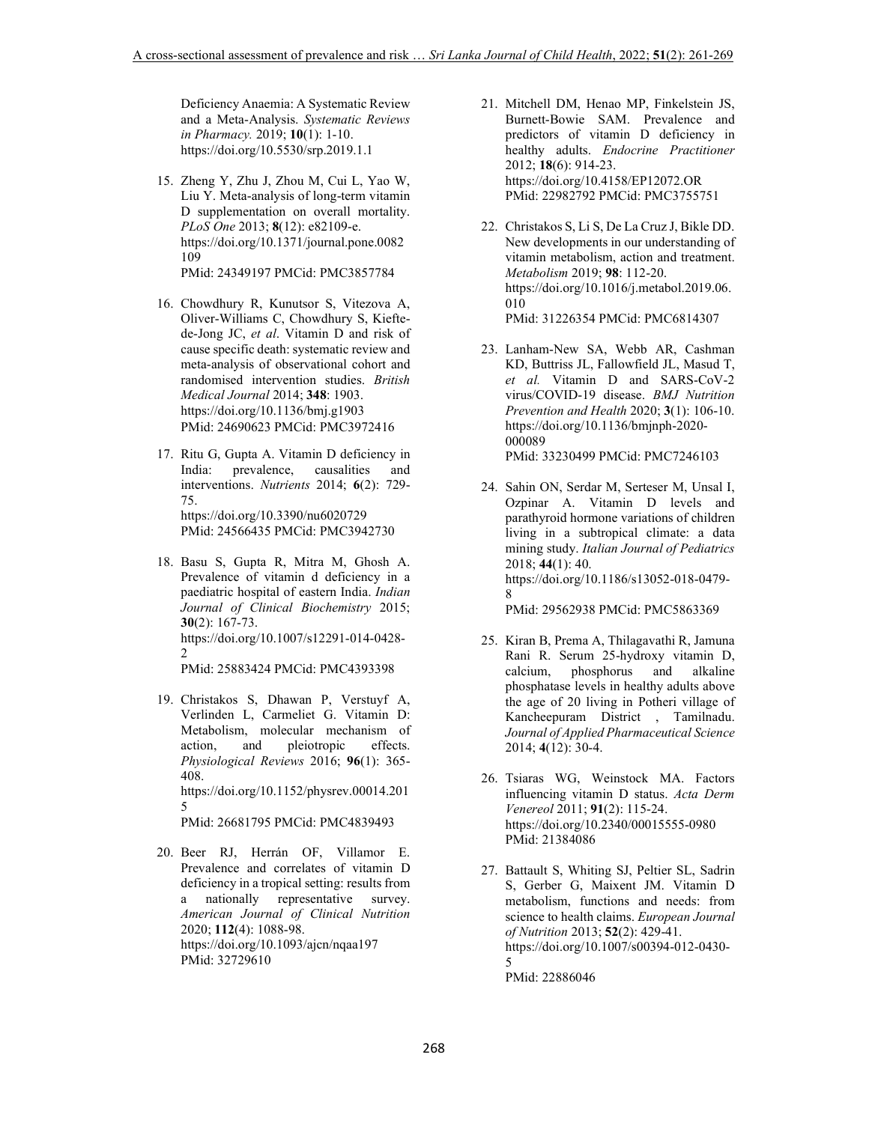Deficiency Anaemia: A Systematic Review and a Meta-Analysis. *Systematic Reviews in Pharmacy.* 2019; **10**(1): 1-10. https://doi.org/10.5530/srp.2019.1.1

- 15. Zheng Y, Zhu J, Zhou M, Cui L, Yao W, Liu Y. Meta-analysis of long-term vitamin D supplementation on overall mortality. *PLoS One* 2013; **8**(12): e82109-e. https://doi.org/10.1371/journal.pone.0082 109 PMid: 24349197 PMCid: PMC3857784
- 16. Chowdhury R, Kunutsor S, Vitezova A, Oliver-Williams C, Chowdhury S, Kieftede-Jong JC, *et al*. Vitamin D and risk of cause specific death: systematic review and meta-analysis of observational cohort and randomised intervention studies. *British Medical Journal* 2014; **348**: 1903. https://doi.org/10.1136/bmj.g1903 PMid: 24690623 PMCid: PMC3972416
- 17. Ritu G, Gupta A. Vitamin D deficiency in India: prevalence, causalities and interventions. *Nutrients* 2014; **6**(2): 729- 75. https://doi.org/10.3390/nu6020729 PMid: 24566435 PMCid: PMC3942730
- 18. Basu S, Gupta R, Mitra M, Ghosh A. Prevalence of vitamin d deficiency in a paediatric hospital of eastern India. *Indian Journal of Clinical Biochemistry* 2015; **30**(2): 167-73. https://doi.org/10.1007/s12291-014-0428-  $\mathcal{L}$

PMid: 25883424 PMCid: PMC4393398

19. Christakos S, Dhawan P, Verstuyf A, Verlinden L, Carmeliet G. Vitamin D: Metabolism, molecular mechanism of action, and pleiotropic effects. *Physiological Reviews* 2016; **96**(1): 365- 408. https://doi.org/10.1152/physrev.00014.201 5 PMid: 26681795 PMCid: PMC4839493

20. Beer RJ, Herrán OF, Villamor E. Prevalence and correlates of vitamin D deficiency in a tropical setting: results from a nationally representative survey. *American Journal of Clinical Nutrition* 2020; **112**(4): 1088-98. https://doi.org/10.1093/ajcn/nqaa197 PMid: 32729610

- 21. Mitchell DM, Henao MP, Finkelstein JS, Burnett-Bowie SAM. Prevalence and predictors of vitamin D deficiency in healthy adults. *Endocrine Practitioner* 2012; **18**(6): 914-23. https://doi.org/10.4158/EP12072.OR PMid: 22982792 PMCid: PMC3755751
- 22. Christakos S, Li S, De La Cruz J, Bikle DD. New developments in our understanding of vitamin metabolism, action and treatment. *Metabolism* 2019; **98**: 112-20. https://doi.org/10.1016/j.metabol.2019.06. 010 PMid: 31226354 PMCid: PMC6814307
- 23. Lanham-New SA, Webb AR, Cashman KD, Buttriss JL, Fallowfield JL, Masud T, *et al.* Vitamin D and SARS-CoV-2 virus/COVID-19 disease. *BMJ Nutrition Prevention and Health* 2020; **3**(1): 106-10. https://doi.org/10.1136/bmjnph-2020- 000089 PMid: 33230499 PMCid: PMC7246103
- 24. Sahin ON, Serdar M, Serteser M, Unsal I, Ozpinar A. Vitamin D levels and parathyroid hormone variations of children living in a subtropical climate: a data mining study. *Italian Journal of Pediatrics*  2018; **44**(1): 40. https://doi.org/10.1186/s13052-018-0479- 8 PMid: 29562938 PMCid: PMC5863369
- 25. Kiran B, Prema A, Thilagavathi R, Jamuna Rani R. Serum 25-hydroxy vitamin D, calcium, phosphorus and alkaline phosphatase levels in healthy adults above the age of 20 living in Potheri village of Kancheepuram District , Tamilnadu.

*Journal of Applied Pharmaceutical Science*

26. Tsiaras WG, Weinstock MA. Factors influencing vitamin D status. *Acta Derm Venereol* 2011; **91**(2): 115-24. https://doi.org/10.2340/00015555-0980 PMid: 21384086

2014; **4**(12): 30-4.

27. Battault S, Whiting SJ, Peltier SL, Sadrin S, Gerber G, Maixent JM. Vitamin D metabolism, functions and needs: from science to health claims. *European Journal of Nutrition* 2013; **52**(2): 429-41. https://doi.org/10.1007/s00394-012-0430- 5 PMid: 22886046